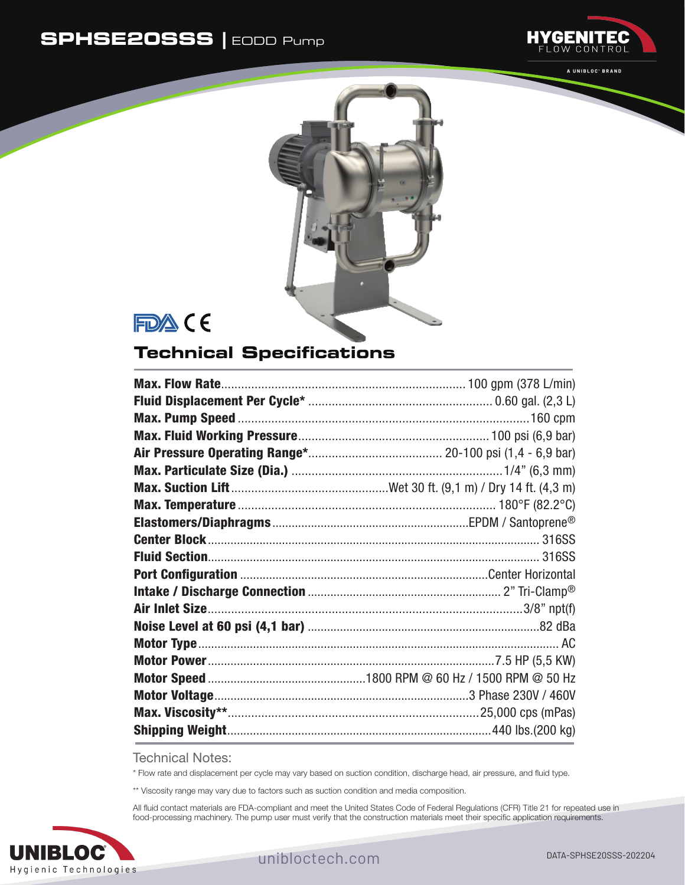## **SPHSE20SSS |** EODD Pump



A UNIBLOC' BRAND



FDA CE

## **Technical Specifications**

Technical Notes:

\* Flow rate and displacement per cycle may vary based on suction condition, discharge head, air pressure, and fluid type.

\*\* Viscosity range may vary due to factors such as suction condition and media composition.

All fluid contact materials are FDA-compliant and meet the United States Code of Federal Regulations (CFR) Title 21 for repeated use in food-processing machinery. The pump user must verify that the construction materials meet their specific application requirements.